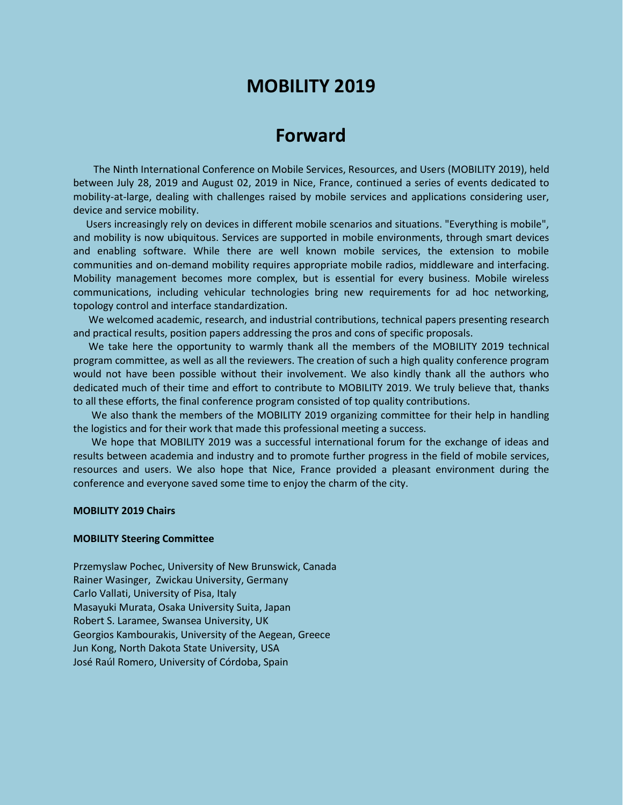## **MOBILITY 2019**

# **Forward**

The Ninth International Conference on Mobile Services, Resources, and Users (MOBILITY 2019), held between July 28, 2019 and August 02, 2019 in Nice, France, continued a series of events dedicated to mobility-at-large, dealing with challenges raised by mobile services and applications considering user, device and service mobility.

Users increasingly rely on devices in different mobile scenarios and situations. "Everything is mobile", and mobility is now ubiquitous. Services are supported in mobile environments, through smart devices and enabling software. While there are well known mobile services, the extension to mobile communities and on-demand mobility requires appropriate mobile radios, middleware and interfacing. Mobility management becomes more complex, but is essential for every business. Mobile wireless communications, including vehicular technologies bring new requirements for ad hoc networking, topology control and interface standardization.

We welcomed academic, research, and industrial contributions, technical papers presenting research and practical results, position papers addressing the pros and cons of specific proposals.

We take here the opportunity to warmly thank all the members of the MOBILITY 2019 technical program committee, as well as all the reviewers. The creation of such a high quality conference program would not have been possible without their involvement. We also kindly thank all the authors who dedicated much of their time and effort to contribute to MOBILITY 2019. We truly believe that, thanks to all these efforts, the final conference program consisted of top quality contributions.

We also thank the members of the MOBILITY 2019 organizing committee for their help in handling the logistics and for their work that made this professional meeting a success.

We hope that MOBILITY 2019 was a successful international forum for the exchange of ideas and results between academia and industry and to promote further progress in the field of mobile services, resources and users. We also hope that Nice, France provided a pleasant environment during the conference and everyone saved some time to enjoy the charm of the city.

### **MOBILITY 2019 Chairs**

#### **MOBILITY Steering Committee**

Przemyslaw Pochec, University of New Brunswick, Canada Rainer Wasinger, Zwickau University, Germany Carlo Vallati, University of Pisa, Italy Masayuki Murata, Osaka University Suita, Japan Robert S. Laramee, Swansea University, UK Georgios Kambourakis, University of the Aegean, Greece Jun Kong, North Dakota State University, USA José Raúl Romero, University of Córdoba, Spain